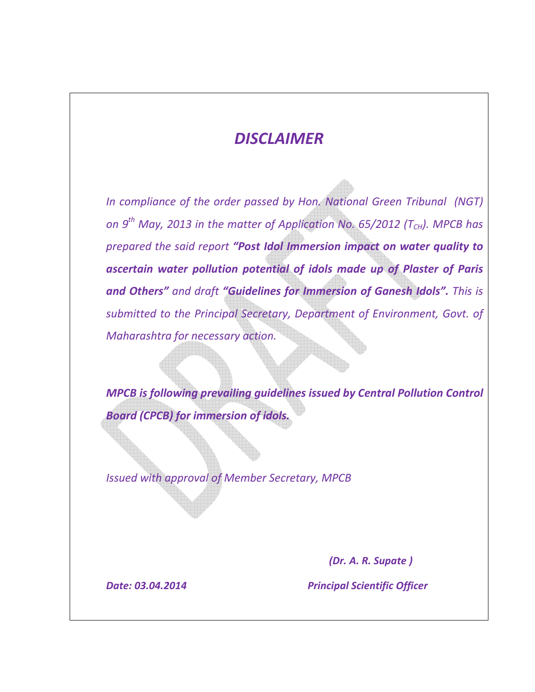### *DISCLAIMER*

*In compliance of the order passed by Hon. National Green Tribunal (NGT) on 9th May, 2013 in the matter of Application No. 65/2012 (TCH). MPCB has prepared the said report "Post Idol Immersion impact on water quality to ascertain water pollution potential of idols made up of Plaster of Paris and Others" and draft "Guidelines for Immersion of Ganesh Idols". This is submitted to the Principal Secretary, Department of Environment, Govt. of Maharashtra for necessary action.* 

 *MPCB is following prevailing guidelines issued by Central Pollution Control Board (CPCB) for immersion of idols.* 

*Issued with approval of Member Secretary, MPCB* 

 *(Dr. A. R. Supate )* 

 *Date: 03.04.2014 Principal Scientific Officer*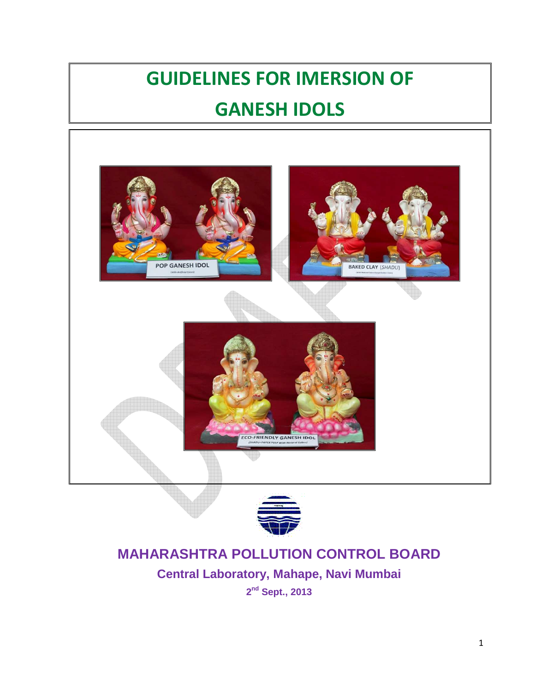# **GUIDELINES FOR IMERSION OF GANESH IDOLS**





### **MAHARASHTRA POLLUTION CONTROL BOARD**

**Central Laboratory, Mahape, Navi Mumbai 2 nd Sept., 2013** 

1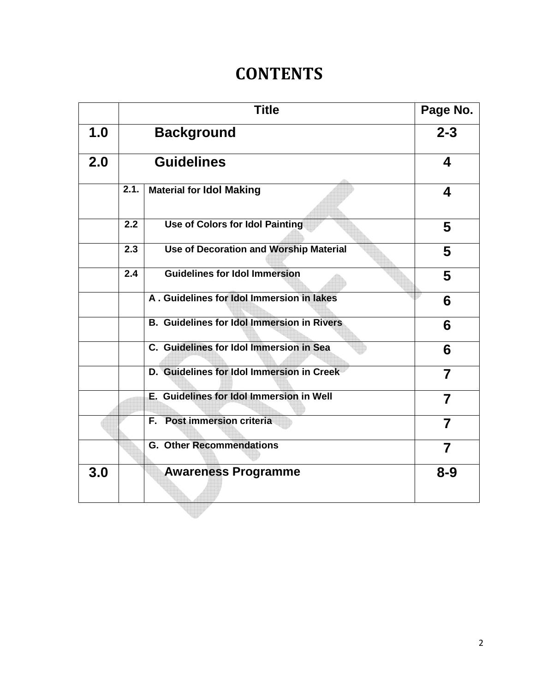## **CONTENTS**

|     |                   | <b>Title</b>                                      | Page No.       |
|-----|-------------------|---------------------------------------------------|----------------|
| 1.0 | <b>Background</b> |                                                   | $2 - 3$        |
| 2.0 | <b>Guidelines</b> |                                                   | 4              |
|     | 2.1.              | <b>Material for Idol Making</b>                   | 4              |
|     | 2.2               | <b>Use of Colors for Idol Painting</b>            | 5              |
|     | 2.3               | <b>Use of Decoration and Worship Material</b>     | 5              |
|     | 2.4               | <b>Guidelines for Idol Immersion</b>              | 5              |
|     |                   | A. Guidelines for Idol Immersion in lakes         | 6              |
|     |                   | <b>B.</b> Guidelines for Idol Immersion in Rivers | 6              |
|     |                   | C. Guidelines for Idol Immersion in Sea           | 6              |
|     |                   | D. Guidelines for Idol Immersion in Creek         | 7              |
|     |                   | E. Guidelines for Idol Immersion in Well          | $\overline{7}$ |
|     |                   | F. Post immersion criteria                        | $\overline{7}$ |
|     |                   | <b>G. Other Recommendations</b>                   | $\overline{7}$ |
| 3.0 |                   | <b>Awareness Programme</b>                        | $8 - 9$        |
|     |                   |                                                   |                |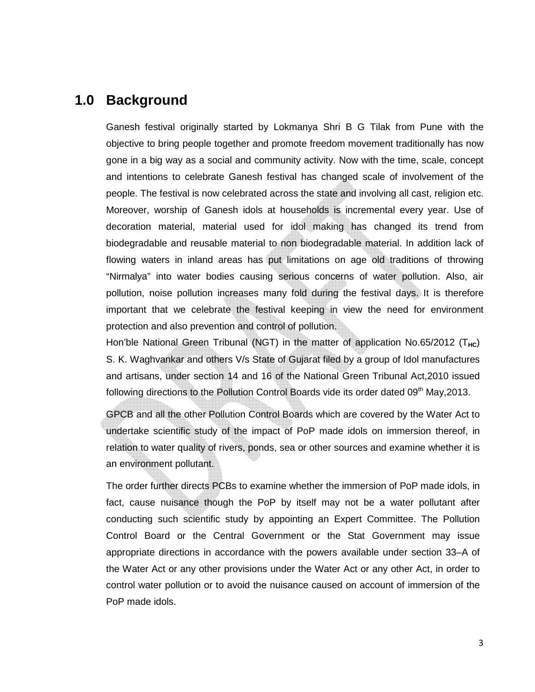### **1.0 Background**

Ganesh festival originally started by Lokmanya Shri B G Tilak from Pune with the objective to bring people together and promote freedom movement traditionally has now gone in a big way as a social and community activity. Now with the time, scale, concept and intentions to celebrate Ganesh festival has changed scale of involvement of the people. The festival is now celebrated across the state and involving all cast, religion etc. Moreover, worship of Ganesh idols at households is incremental every year. Use of decoration material, material used for idol making has changed its trend from biodegradable and reusable material to non biodegradable material. In addition lack of flowing waters in inland areas has put limitations on age old traditions of throwing "Nirmalya" into water bodies causing serious concerns of water pollution. Also, air pollution, noise pollution increases many fold during the festival days. It is therefore important that we celebrate the festival keeping in view the need for environment protection and also prevention and control of pollution.

Hon'ble National Green Tribunal (NGT) in the matter of application No.65/2012 (T<sub>HC</sub>) S. K. Waghvankar and others V/s State of Gujarat filed by a group of Idol manufactures and artisans, under section 14 and 16 of the National Green Tribunal Act,2010 issued following directions to the Pollution Control Boards vide its order dated  $09<sup>th</sup>$  May, 2013.

GPCB and all the other Pollution Control Boards which are covered by the Water Act to undertake scientific study of the impact of PoP made idols on immersion thereof, in relation to water quality of rivers, ponds, sea or other sources and examine whether it is an environment pollutant.

The order further directs PCBs to examine whether the immersion of PoP made idols, in fact, cause nuisance though the PoP by itself may not be a water pollutant after conducting such scientific study by appointing an Expert Committee. The Pollution Control Board or the Central Government or the Stat Government may issue appropriate directions in accordance with the powers available under section 33–A of the Water Act or any other provisions under the Water Act or any other Act, in order to control water pollution or to avoid the nuisance caused on account of immersion of the PoP made idols.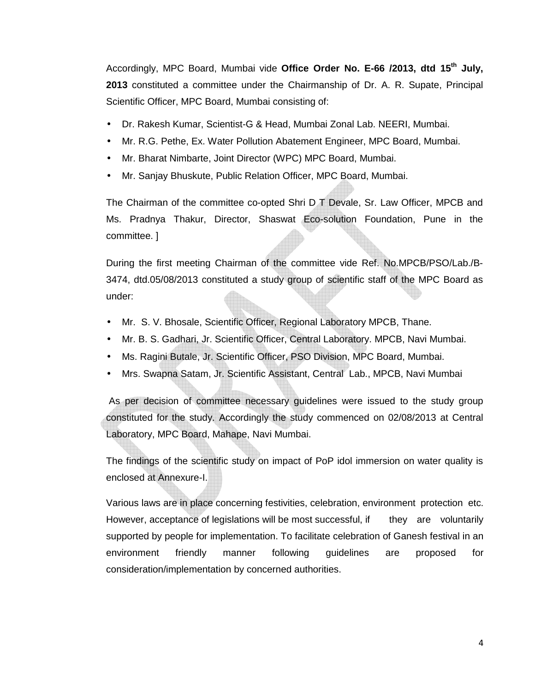Accordingly, MPC Board, Mumbai vide **Office Order No. E-66 /2013, dtd 15th July, 2013** constituted a committee under the Chairmanship of Dr. A. R. Supate, Principal Scientific Officer, MPC Board, Mumbai consisting of:

- Dr. Rakesh Kumar, Scientist-G & Head, Mumbai Zonal Lab. NEERI, Mumbai.
- Mr. R.G. Pethe, Ex. Water Pollution Abatement Engineer, MPC Board, Mumbai.
- Mr. Bharat Nimbarte, Joint Director (WPC) MPC Board, Mumbai.
- Mr. Sanjay Bhuskute, Public Relation Officer, MPC Board, Mumbai.

The Chairman of the committee co-opted Shri D T Devale, Sr. Law Officer, MPCB and Ms. Pradnya Thakur, Director, Shaswat Eco-solution Foundation, Pune in the committee. ]

During the first meeting Chairman of the committee vide Ref. No.MPCB/PSO/Lab./B-3474, dtd.05/08/2013 constituted a study group of scientific staff of the MPC Board as under:

- Mr. S. V. Bhosale, Scientific Officer, Regional Laboratory MPCB, Thane.
- Mr. B. S. Gadhari, Jr. Scientific Officer, Central Laboratory. MPCB, Navi Mumbai.
- Ms. Ragini Butale, Jr. Scientific Officer, PSO Division, MPC Board, Mumbai.
- Mrs. Swapna Satam, Jr. Scientific Assistant, Central Lab., MPCB, Navi Mumbai

 As per decision of committee necessary guidelines were issued to the study group constituted for the study. Accordingly the study commenced on 02/08/2013 at Central Laboratory, MPC Board, Mahape, Navi Mumbai.

The findings of the scientific study on impact of PoP idol immersion on water quality is enclosed at Annexure-I.

Various laws are in place concerning festivities, celebration, environment protection etc. However, acceptance of legislations will be most successful, if they are voluntarily supported by people for implementation. To facilitate celebration of Ganesh festival in an environment friendly manner following guidelines are proposed for consideration/implementation by concerned authorities.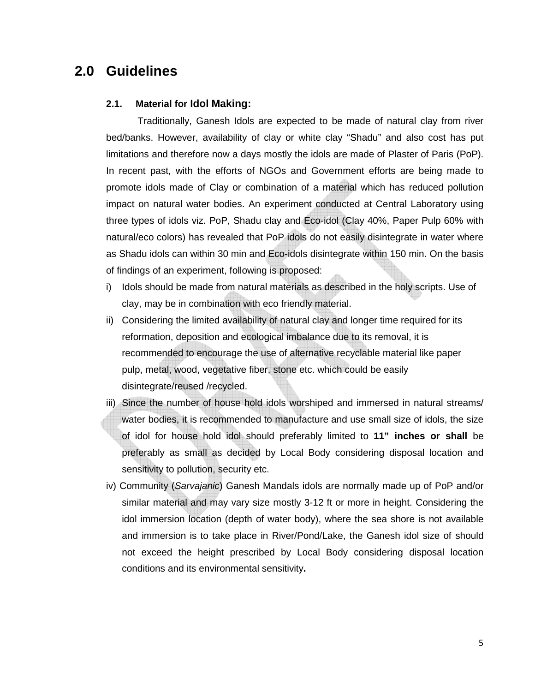### **2.0 Guidelines**

#### **2.1. Material for Idol Making:**

Traditionally, Ganesh Idols are expected to be made of natural clay from river bed/banks. However, availability of clay or white clay "Shadu" and also cost has put limitations and therefore now a days mostly the idols are made of Plaster of Paris (PoP). In recent past, with the efforts of NGOs and Government efforts are being made to promote idols made of Clay or combination of a material which has reduced pollution impact on natural water bodies. An experiment conducted at Central Laboratory using three types of idols viz. PoP, Shadu clay and Eco-idol (Clay 40%, Paper Pulp 60% with natural/eco colors) has revealed that PoP idols do not easily disintegrate in water where as Shadu idols can within 30 min and Eco-idols disintegrate within 150 min. On the basis of findings of an experiment, following is proposed:

- i) Idols should be made from natural materials as described in the holy scripts. Use of clay, may be in combination with eco friendly material.
- ii) Considering the limited availability of natural clay and longer time required for its reformation, deposition and ecological imbalance due to its removal, it is recommended to encourage the use of alternative recyclable material like paper pulp, metal, wood, vegetative fiber, stone etc. which could be easily disintegrate/reused /recycled.
- iii) Since the number of house hold idols worshiped and immersed in natural streams/ water bodies, it is recommended to manufacture and use small size of idols, the size of idol for house hold idol should preferably limited to **11" inches or shall** be preferably as small as decided by Local Body considering disposal location and sensitivity to pollution, security etc.
- iv) Community (Sarvajanic) Ganesh Mandals idols are normally made up of PoP and/or similar material and may vary size mostly 3-12 ft or more in height. Considering the idol immersion location (depth of water body), where the sea shore is not available and immersion is to take place in River/Pond/Lake, the Ganesh idol size of should not exceed the height prescribed by Local Body considering disposal location conditions and its environmental sensitivity**.**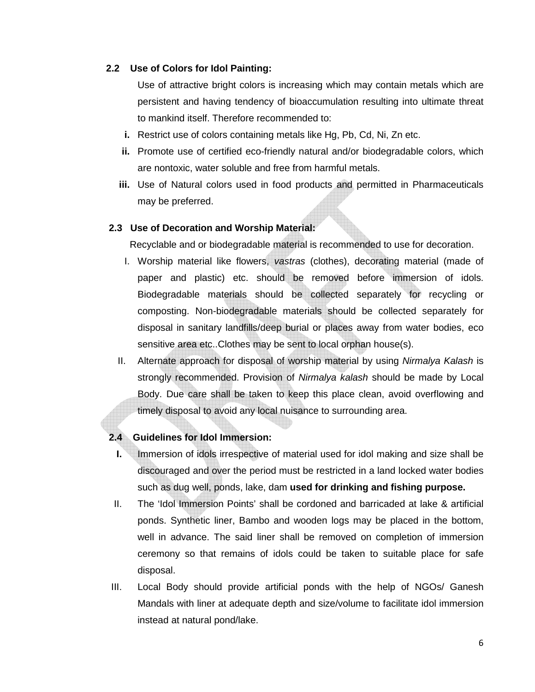#### **2.2 Use of Colors for Idol Painting:**

Use of attractive bright colors is increasing which may contain metals which are persistent and having tendency of bioaccumulation resulting into ultimate threat to mankind itself. Therefore recommended to:

- **i.** Restrict use of colors containing metals like Hg, Pb, Cd, Ni, Zn etc.
- **ii.** Promote use of certified eco-friendly natural and/or biodegradable colors, which are nontoxic, water soluble and free from harmful metals.
- **iii.** Use of Natural colors used in food products and permitted in Pharmaceuticals may be preferred.

#### **2.3 Use of Decoration and Worship Material:**

Recyclable and or biodegradable material is recommended to use for decoration.

- I. Worship material like flowers, vastras (clothes), decorating material (made of paper and plastic) etc. should be removed before immersion of idols. Biodegradable materials should be collected separately for recycling or composting. Non-biodegradable materials should be collected separately for disposal in sanitary landfills/deep burial or places away from water bodies, eco sensitive area etc..Clothes may be sent to local orphan house(s).
- II. Alternate approach for disposal of worship material by using Nirmalya Kalash is strongly recommended. Provision of Nirmalya kalash should be made by Local Body. Due care shall be taken to keep this place clean, avoid overflowing and timely disposal to avoid any local nuisance to surrounding area.

#### **2.4 Guidelines for Idol Immersion:**

- **I.** Immersion of idols irrespective of material used for idol making and size shall be discouraged and over the period must be restricted in a land locked water bodies such as dug well, ponds, lake, dam **used for drinking and fishing purpose.**
- II. The 'Idol Immersion Points' shall be cordoned and barricaded at lake & artificial ponds. Synthetic liner, Bambo and wooden logs may be placed in the bottom, well in advance. The said liner shall be removed on completion of immersion ceremony so that remains of idols could be taken to suitable place for safe disposal.
- III. Local Body should provide artificial ponds with the help of NGOs/ Ganesh Mandals with liner at adequate depth and size/volume to facilitate idol immersion instead at natural pond/lake.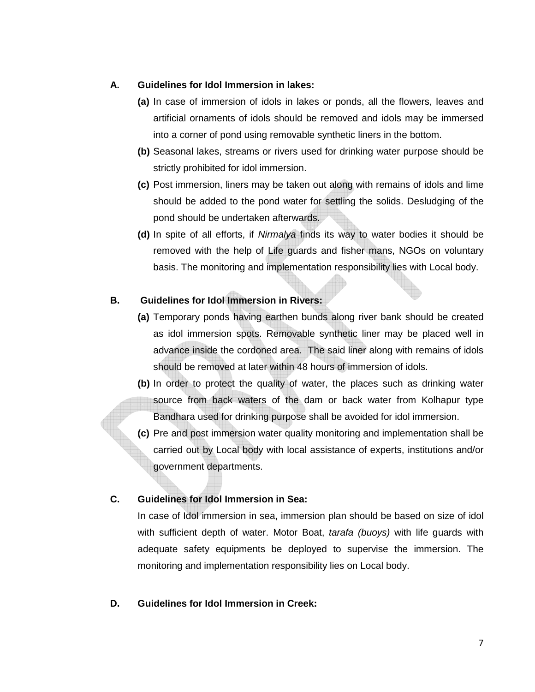#### **A. Guidelines for Idol Immersion in lakes:**

- **(a)** In case of immersion of idols in lakes or ponds, all the flowers, leaves and artificial ornaments of idols should be removed and idols may be immersed into a corner of pond using removable synthetic liners in the bottom.
- **(b)** Seasonal lakes, streams or rivers used for drinking water purpose should be strictly prohibited for idol immersion.
- **(c)** Post immersion, liners may be taken out along with remains of idols and lime should be added to the pond water for settling the solids. Desludging of the pond should be undertaken afterwards.
- **(d)** In spite of all efforts, if Nirmalya finds its way to water bodies it should be removed with the help of Life guards and fisher mans, NGOs on voluntary basis. The monitoring and implementation responsibility lies with Local body.

#### **B. Guidelines for Idol Immersion in Rivers:**

- **(a)** Temporary ponds having earthen bunds along river bank should be created as idol immersion spots. Removable synthetic liner may be placed well in advance inside the cordoned area. The said liner along with remains of idols should be removed at later within 48 hours of immersion of idols.
- **(b)** In order to protect the quality of water, the places such as drinking water source from back waters of the dam or back water from Kolhapur type Bandhara used for drinking purpose shall be avoided for idol immersion.
- **(c)** Pre and post immersion water quality monitoring and implementation shall be carried out by Local body with local assistance of experts, institutions and/or government departments.

#### **C. Guidelines for Idol Immersion in Sea:**

In case of Idol immersion in sea, immersion plan should be based on size of idol with sufficient depth of water. Motor Boat, tarafa (buoys) with life quards with adequate safety equipments be deployed to supervise the immersion. The monitoring and implementation responsibility lies on Local body.

#### **D. Guidelines for Idol Immersion in Creek:**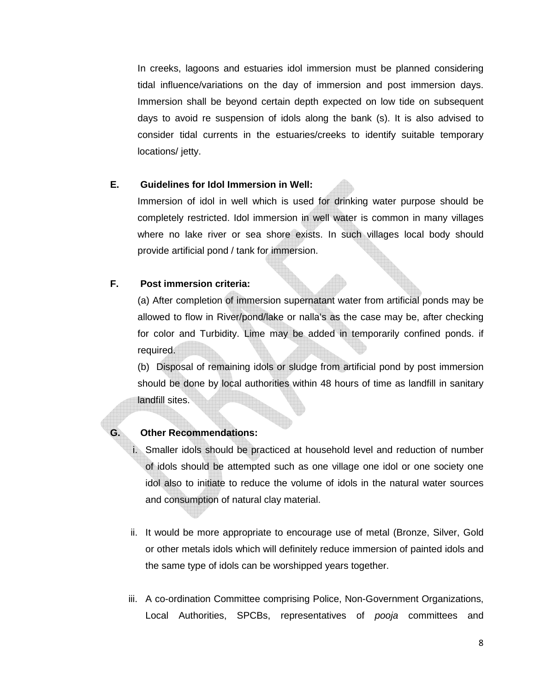In creeks, lagoons and estuaries idol immersion must be planned considering tidal influence/variations on the day of immersion and post immersion days. Immersion shall be beyond certain depth expected on low tide on subsequent days to avoid re suspension of idols along the bank (s). It is also advised to consider tidal currents in the estuaries/creeks to identify suitable temporary locations/ jetty.

#### **E. Guidelines for Idol Immersion in Well:**

Immersion of idol in well which is used for drinking water purpose should be completely restricted. Idol immersion in well water is common in many villages where no lake river or sea shore exists. In such villages local body should provide artificial pond / tank for immersion.

#### **F. Post immersion criteria:**

(a) After completion of immersion supernatant water from artificial ponds may be allowed to flow in River/pond/lake or nalla's as the case may be, after checking for color and Turbidity. Lime may be added in temporarily confined ponds. if required.

(b) Disposal of remaining idols or sludge from artificial pond by post immersion should be done by local authorities within 48 hours of time as landfill in sanitary landfill sites.

#### **G. Other Recommendations:**

i. Smaller idols should be practiced at household level and reduction of number of idols should be attempted such as one village one idol or one society one idol also to initiate to reduce the volume of idols in the natural water sources and consumption of natural clay material.

- ii. It would be more appropriate to encourage use of metal (Bronze, Silver, Gold or other metals idols which will definitely reduce immersion of painted idols and the same type of idols can be worshipped years together.
- iii. A co-ordination Committee comprising Police, Non-Government Organizations, Local Authorities, SPCBs, representatives of *pooja* committees and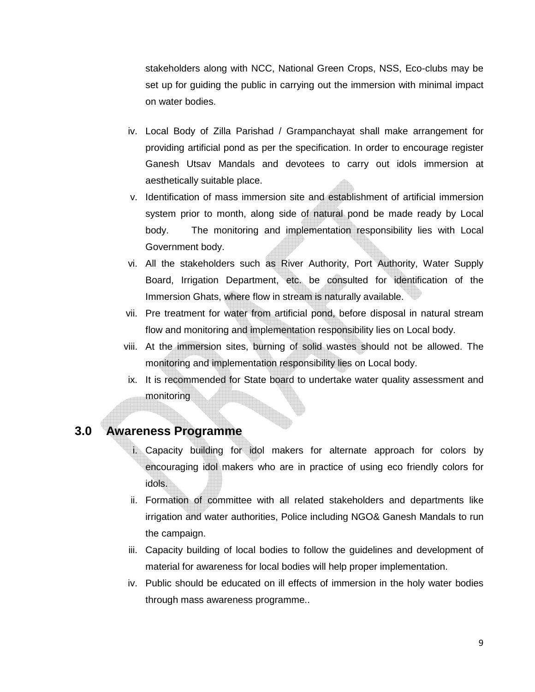stakeholders along with NCC, National Green Crops, NSS, Eco-clubs may be set up for guiding the public in carrying out the immersion with minimal impact on water bodies.

- iv. Local Body of Zilla Parishad / Grampanchayat shall make arrangement for providing artificial pond as per the specification. In order to encourage register Ganesh Utsav Mandals and devotees to carry out idols immersion at aesthetically suitable place.
- v. Identification of mass immersion site and establishment of artificial immersion system prior to month, along side of natural pond be made ready by Local body. The monitoring and implementation responsibility lies with Local Government body.
- vi. All the stakeholders such as River Authority, Port Authority, Water Supply Board, Irrigation Department, etc. be consulted for identification of the Immersion Ghats, where flow in stream is naturally available.
- vii. Pre treatment for water from artificial pond, before disposal in natural stream flow and monitoring and implementation responsibility lies on Local body.
- viii. At the immersion sites, burning of solid wastes should not be allowed. The monitoring and implementation responsibility lies on Local body.
- ix. It is recommended for State board to undertake water quality assessment and monitoring

#### **3.0 Awareness Programme**

- i. Capacity building for idol makers for alternate approach for colors by encouraging idol makers who are in practice of using eco friendly colors for idols.
- ii. Formation of committee with all related stakeholders and departments like irrigation and water authorities, Police including NGO& Ganesh Mandals to run the campaign.
- iii. Capacity building of local bodies to follow the guidelines and development of material for awareness for local bodies will help proper implementation.
- iv. Public should be educated on ill effects of immersion in the holy water bodies through mass awareness programme..